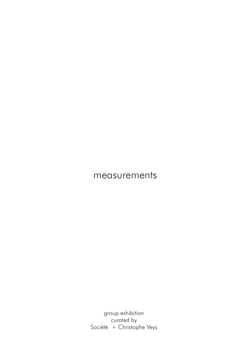group exhibition curated by Société + Christophe Veys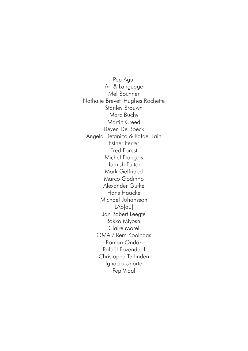Pep Agut Art & Language Mel Bochner Nathalie Brevet\_Hughes Rochette Stanley Brouwn Marc Buchy Martin Creed Lieven De Boeck Angela Detanico & Rafael Lain Esther Ferrer Fred Forest Michel François Hamish Fulton Mark Geffriaud Marco Godinho Alexander Gutke Hans Haacke Michael Johansson LAb[au] Jan Robert Leegte Rokko Miyoshi Claire Morel OMA / Rem Koolhaas Roman Ondák Rafaël Rozendaal Christophe Terlinden Ignacio Uriarte Pep Vidal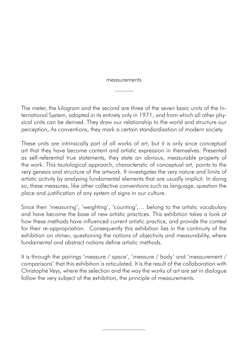The meter, the kilogram and the second are three of the seven basic units of the International System, adopted in its entirety only in 1971, and from which all other physical units can be derived. They draw our relationship to the world and structure our perception, As conventions, they mark a certain standardisation of modern society.

These units are intrinsically part of all works of art, but it is only since conceptual art that they have become content and artistic expression in themselves. Presented as self-referential true statements, they state an obvious, measurable property of the work. This tautological approach, characteristic of conceptual art, points to the very genesis and structure of the artwork. It investigates the very nature and limits of artistic activity by analysing fundamental elements that are usually implicit. In doing so, these measures, like other collective conventions such as language, question the place and justification of any system of signs in our culture.

Since then 'measuring', 'weighting', 'counting',… belong to the artistic vocabulary and have become the base of new artistic practices. This exhibition takes a look at how these methods have influenced current artistic practice, and provide the context for their re-appropriation. Consequently this exhibition lies in the continuity of the exhibition on «time», questioning the notions of objectivity and measurability, where fundamental and abstract notions define artistic methods.

It is through the pairings 'measure / space', 'measure / body' and 'measurement / comparisons' that this exhibition is articulated. It is the result of the collaboration with Christophe Veys, where the selection and the way the works of art are set in dialogue follow the very subject of the exhibition, the principle of measurements.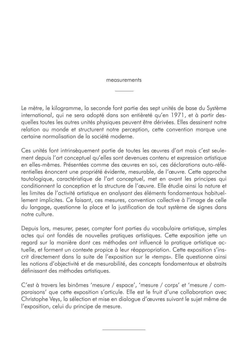Le mètre, le kilogramme, la seconde font partie des sept unités de base du Système international, qui ne sera adopté dans son entièreté qu'en 1971, et à partir desquelles toutes les autres unités physiques peuvent être dérivées. Elles dessinent notre relation au monde et structurent notre perception, cette convention marque une certaine normalisation de la société moderne.

Ces unités font intrinsèquement partie de toutes les œuvres d'art mais c'est seulement depuis l'art conceptuel qu'elles sont devenues contenu et expression artistique en elles-mêmes. Présentées comme des œuvres en soi, ces déclarations auto-référentielles énoncent une propriété évidente, mesurable, de l'œuvre. Cette approche tautologique, caractéristique de l'art conceptuel, met en avant les principes qui conditionnent la conception et la structure de l'œuvre. Elle étudie ainsi la nature et les limites de l'activité artistique en analysant des éléments fondamentaux habituellement implicites. Ce faisant, ces mesures, convention collective à l'image de celle du langage, questionne la place et la justification de tout système de signes dans notre culture.

Depuis lors, mesurer, peser, compter font parties du vocabulaire artistique, simples actes qui ont fondés de nouvelles pratiques artistiques. Cette exposition jette un regard sur la manière dont ces méthodes ont influencé la pratique artistique actuelle, et forment un contexte propice à leur réappropriation. Cette exposition s'inscrit directement dans la suite de l'exposition sur le «temps». Elle questionne ainsi les notions d'objectivité et de mesurabilité, des concepts fondamentaux et abstraits définissant des méthodes artistiques.

C'est à travers les binômes 'mesure / espace', 'mesure / corps' et 'mesure / comparaisons' que cette exposition s'articule. Elle est le fruit d'une collaboration avec Christophe Veys, la sélection et mise en dialogue d'œuvres suivant le sujet même de l'exposition, celui du principe de mesure.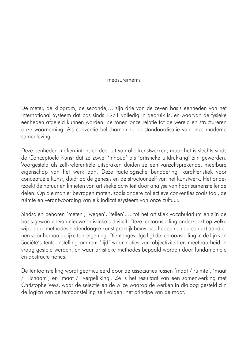De meter, de kilogram, de seconde,… zijn drie van de zeven basis eenheden van het International Systeem dat pas sinds 1971 volledig in gebruik is, en waarvan de fysieke eenheden afgeleid kunnen worden. Ze tonen onze relatie tot de wereld en structureren onze waarneming. Als conventie belichamen ze de standaardisatie van onze moderne samenleving.

Deze eenheden maken intrinsiek deel uit van alle kunstwerken, maar het is slechts sinds de Conceptuele Kunst dat ze zowel 'inhoud' als 'artistieke uitdrukking' zijn geworden. Voorgesteld als zelf-referentiële uitspraken duiden ze een vanzelfsprekende, meetbare eigenschap van het werk aan. Deze tautologische benadering, karakteristiek voor conceptuele kunst, duidt op de genesis en de structuur zelf van het kunstwerk. Het onderzoekt de natuur en limieten van artistieke activiteit door analyse van haar samenstellende delen. Op die manier bevragen maten, zoals andere collectieve conventies zoals taal, de ruimte en verantwoording van elk indicatiesysteem van onze cultuur.

Sindsdien behoren 'meten', 'wegen', 'tellen',… tot het artistiek vocabularium en zijn de basis geworden van nieuwe artistieke activiteit. Deze tentoonstelling onderzoekt op welke wijze deze methodes hedendaagse kunst praktijk beïnvloed hebben en de context aandienen voor herhaaldelijke toe-eigening. Dientengevolge ligt de tentoonstelling in de lijn van Société's tentoonstelling omtrent 'tijd' waar noties van objectiviteit en meetbaarheid in vraag gesteld werden, en waar artistieke methodes bepaald worden door fundamentele en abstracte noties.

De tentoonstelling wordt gearticuleerd door de associaties tussen 'maat / ruimte', 'maat / lichaam', en 'maat / vergelijking'. Ze is het resultaat van een samenwerking met Christophe Veys, waar de selectie en de wijze waarop de werken in dialoog gesteld zijn de logica van de tentoonstelling zelf volgen: het principe van de maat.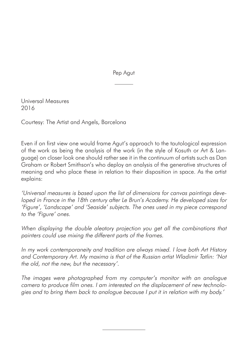Pep Agut

Universal Measures 2016

Courtesy: The Artist and Angels, Barcelona

Even if on first view one would frame Agut's approach to the tautological expression of the work as being the analysis of the work (in the style of Kosuth or Art & Language) on closer look one should rather see it in the continuum of artists such as Dan Graham or Robert Smithson's who deploy an analysis of the generative structures of meaning and who place these in relation to their disposition in space. As the artist explains:

'Universal measures is based upon the list of dimensions for canvas paintings developed in France in the 18th century after Le Brun's Academy. He developed sizes for 'Figure', 'Landscape' and 'Seaside' subjects. The ones used in my piece correspond to the 'Figure' ones.

When displaying the double aleatory projection you get all the combinations that painters could use mixing the different parts of the frames.

In my work contemporaneity and tradition are always mixed. I love both Art History and Contemporary Art. My maxima is that of the Russian artist Wladimir Tatlin: 'Not the old, not the new, but the necessary'.

The images were photographed from my computer's monitor with an analogue camera to produce film ones. I am interested on the displacement of new technologies and to bring them back to analogue because I put it in relation with my body.'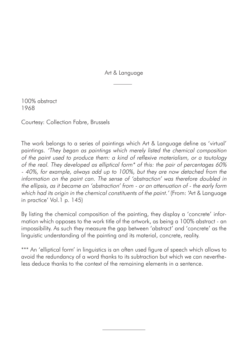Art & Language

100% abstract 1968

Courtesy: Collection Fabre, Brussels

The work belongs to a series of paintings which Art & Language define as 'virtual' paintings. 'They began as paintings which merely listed the chemical composition of the paint used to produce them: a kind of reflexive materialism, or a tautology of the real. They developed as elliptical form\* of this: the pair of percentages 60% - 40%, for example, always add up to 100%, but they are now detached from the information on the paint can. The sense of 'abstraction' was therefore doubled in the ellipsis, as it became an 'abstraction' from - or an attenuation of - the early form which had its origin in the chemical constituents of the paint.' (From: 'Art & Language in practice' Vol.1 p. 145)

By listing the chemical composition of the painting, they display a 'concrete' information which opposes to the work title of the artwork, as being a 100% abstract - an impossibility. As such they measure the gap between 'abstract' and 'concrete' as the linguistic understanding of the painting and its material, concrete, reality.

\*\*\* An 'elliptical form' in linguistics is an often used figure of speech which allows to avoid the redundancy of a word thanks to its subtraction but which we can nevertheless deduce thanks to the context of the remaining elements in a sentence.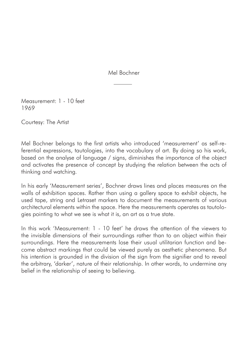Mel Bochner

Measurement: 1 - 10 feet 1969

Courtesy: The Artist

Mel Bochner belongs to the first artists who introduced 'measurement' as self-referential expressions, tautologies, into the vocabulary of art. By doing so his work, based on the analyse of language / signs, diminishes the importance of the object and activates the presence of concept by studying the relation between the acts of thinking and watching.

In his early 'Measurement series', Bochner draws lines and places measures on the walls of exhibition spaces. Rather than using a gallery space to exhibit objects, he used tape, string and Letraset markers to document the measurements of various architectural elements within the space. Here the measurements operates as tautologies pointing to what we see is what it is, an art as a true state.

In this work 'Measurement: 1 - 10 feet' he draws the attention of the viewers to the invisible dimensions of their surroundings rather than to an object within their surroundings. Here the measurements lose their usual utilitarian function and become abstract markings that could be viewed purely as aesthetic phenomena. But his intention is grounded in the division of the sign from the signifier and to reveal the arbitrary, 'darker', nature of their relationship. In other words, to undermine any belief in the relationship of seeing to believing.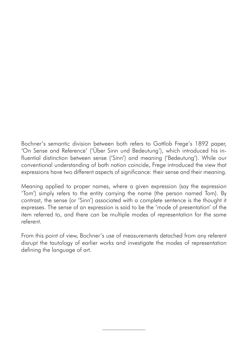Bochner's semantic division between both refers to Gottlob Frege's 1892 paper, 'On Sense and Reference' ('Über Sinn und Bedeutung'), which introduced his influential distinction between sense ('Sinn') and meaning ('Bedeutung'). While our conventional understanding of both notion coincide, Frege introduced the view that expressions have two different aspects of significance: their sense and their meaning.

Meaning applied to proper names, where a given expression (say the expression 'Tom') simply refers to the entity carrying the name (the person named Tom). By contrast, the sense (or 'Sinn') associated with a complete sentence is the thought it expresses. The sense of an expression is said to be the 'mode of presentation' of the item referred to, and there can be multiple modes of representation for the same referent.

From this point of view, Bochner's use of measurements detached from any referent disrupt the tautology of earlier works and investigate the modes of representation defining the language of art.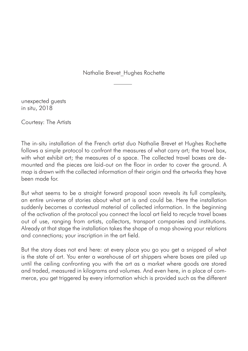Nathalie Brevet\_Hughes Rochette

unexpected guests in situ, 2018

Courtesy: The Artists

The in-situ installation of the French artist duo Nathalie Brevet et Hughes Rochette follows a simple protocol to confront the measures of what carry art; the travel box, with what exhibit art; the measures of a space. The collected travel boxes are demounted and the pieces are laid-out on the floor in order to cover the ground. A map is drawn with the collected information of their origin and the artworks they have been made for.

But what seems to be a straight forward proposal soon reveals its full complexity, an entire universe of stories about what art is and could be. Here the installation suddenly becomes a contextual material of collected information. In the beginning of the activation of the protocol you connect the local art field to recycle travel boxes out of use, ranging from artists, collectors, transport companies and institutions. Already at that stage the installation takes the shape of a map showing your relations and connections; your inscription in the art field.

But the story does not end here: at every place you go you get a snipped of what is the state of art. You enter a warehouse of art shippers where boxes are piled up until the ceiling confronting you with the art as a market where goods are stored and traded, measured in kilograms and volumes. And even here, in a place of commerce, you get triggered by every information which is provided such as the different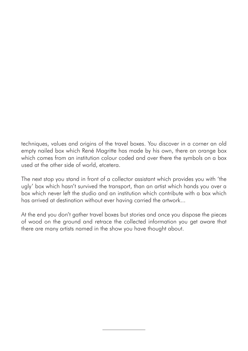techniques, values and origins of the travel boxes. You discover in a corner an old empty nailed box which René Magritte has made by his own, there an orange box which comes from an institution colour coded and over there the symbols on a box used at the other side of world, etcetera.

The next stop you stand in front of a collector assistant which provides you with 'the ugly' box which hasn't survived the transport, than an artist which hands you over a box which never left the studio and an institution which contribute with a box which has arrived at destination without ever having carried the artwork...

At the end you don't gather travel boxes but stories and once you dispose the pieces of wood on the ground and retrace the collected information you get aware that there are many artists named in the show you have thought about.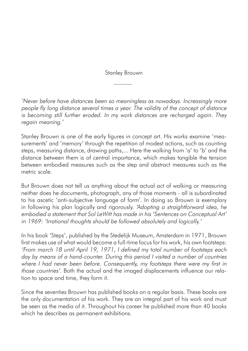Stanley Brouwn

'Never before have distances been so meaningless as nowadays. Increasingly more people fly long distance several times a year. The validity of the concept of distance is becoming still further eroded. In my work distances are recharged again. They regain meaning.'

Stanley Brouwn is one of the early figures in concept art. His works examine 'measurements' and 'memory' through the repetition of modest actions, such as counting steps, measuring distance, drawing paths,... Here the walking from 'a' to 'b' and the distance between them is of central importance, which makes tangible the tension between embodied measures such as the step and abstract measures such as the metric scale.

But Brouwn does not tell us anything about the actual act of walking or measuring neither does he documents, photograph, any of those moments - all is subordinated to his ascetic 'anti-subjective language of form'. In doing so Brouwn is exemplary in following his plan logically and rigorously. 'Adopting a straightforward idea, he embodied a statement that Sol LeWitt has made in his 'Sentences on Conceptual Art' in 1969: 'Irrational thoughts should be followed absolutely and logically.'

In his book 'Steps', published by the Stedelijk Museum, Amsterdam in 1971, Brouwn first makes use of what would become a full-time focus for his work, his own footsteps: 'From march 18 until April 19, 1971, I defined my total number of footsteps each day by means of a hand-counter. During this period I visited a number of countries where I had never been before. Consequently, my footsteps there were my first in those countries'. Both the actual and the imaged displacements influence our relation to space and time, they form it.

Since the seventies Brouwn has published books on a regular basis. These books are the only documentation of his work. They are an integral part of his work and must be seen as the media of it. Throughout his career he published more than 40 books which he describes as permanent exhibitions.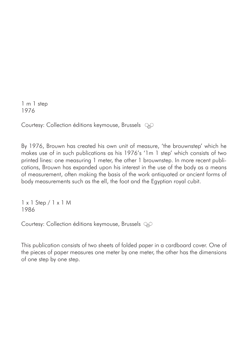1 m 1 step 1976

Courtesy: Collection éditions keymouse, Brussels

By 1976, Brouwn has created his own unit of measure, 'the brouwnstep' which he makes use of in such publications as his 1976's '1m 1 step' which consists of two printed lines: one measuring 1 meter, the other 1 brouwnstep. In more recent publications, Brouwn has expanded upon his interest in the use of the body as a means of measurement, often making the basis of the work antiquated or ancient forms of body measurements such as the ell, the foot and the Egyptian royal cubit.

1 x 1 Step / 1 x 1 M 1986

Courtesy: Collection éditions keymouse, Brussels OO

This publication consists of two sheets of folded paper in a cardboard cover. One of the pieces of paper measures one meter by one meter, the other has the dimensions of one step by one step.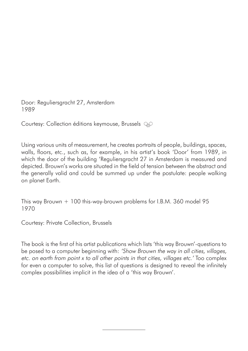Door: Reguliersgracht 27, Amsterdam 1989

Courtesy: Collection éditions keymouse, Brussels OO

Using various units of measurement, he creates portraits of people, buildings, spaces, walls, floors, etc., such as, for example, in his artist's book 'Door' from 1989, in which the door of the building 'Reguliersgracht 27 in Amsterdam is measured and depicted. Brouwn's works are situated in the field of tension between the abstract and the generally valid and could be summed up under the postulate: people walking on planet Earth.

This way Brouwn + 100 this-way-brouwn problems for I.B.M. 360 model 95 1970

Courtesy: Private Collection, Brussels

The book is the first of his artist publications which lists 'this way Brouwn'-questions to be posed to a computer beginning with: 'Show Brouwn the way in all cities, villages, etc. on earth from point x to all other points in that cities, villages etc.' Too complex for even a computer to solve, this list of questions is designed to reveal the infinitely complex possibilities implicit in the idea of a 'this way Brouwn'.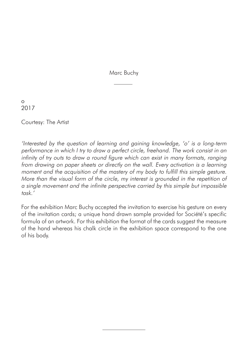Marc Buchy

o 2017

Courtesy: The Artist

'Interested by the question of learning and gaining knowledge, 'o' is a long-term performance in which I try to draw a perfect circle, freehand. The work consist in an infinity of try outs to draw a round figure which can exist in many formats, ranging from drawing on paper sheets or directly on the wall. Every activation is a learning moment and the acquisition of the mastery of my body to fulfill this simple gesture. More than the visual form of the circle, my interest is grounded in the repetition of a single movement and the infinite perspective carried by this simple but impossible task.'

For the exhibition Marc Buchy accepted the invitation to exercise his gesture on every of the invitation cards; a unique hand drawn sample provided for Société's specific formula of an artwork. For this exhibition the format of the cards suggest the measure of the hand whereas his chalk circle in the exhibition space correspond to the one of his body.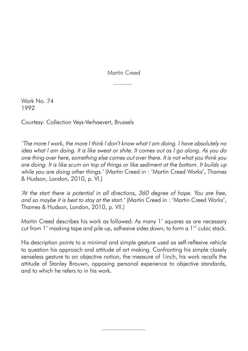Martin Creed

Work No. 74 1992

Courtesy: Collection Veys-Verhaevert, Brussels

'The more I work, the more I think I don't know what I am doing. I have absolutely no idea what I am doing. It is like sweat or shite. It comes out as I go along. As you do one thing over here, something else comes out over there. It is not what you think you are doing. It is like scum on top of things or like sediment at the bottom. It builds up while you are doing other things.' (Martin Creed in : 'Martin Creed Works', Thames & Hudson, London, 2010, p. VI.)

'At the start there is potential in all directions, 360 degree of hope. You are free, and so maybe it is best to stay at the start.' (Martin Creed in : 'Martin Creed Works', Thames & Hudson, London, 2010, p. VII.)

Martin Creed describes his work as followed: As many 1' squares as are necessary cut from 1' masking tape and pile up, adhesive sides down, to form a 1'' cubic stack.

His description points to a minimal and simple gesture used as self-reflexive vehicle to question his approach and attitude of art making. Confronting his simple closely senseless gesture to an objective notion, the measure of 1inch, his work recalls the attitude of Stanley Brouwn, opposing personal experience to objective standards, and to which he refers to in his work.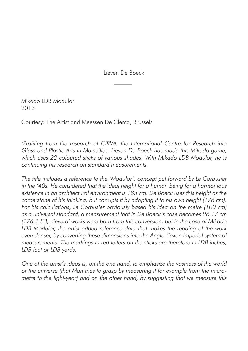Lieven De Boeck

Mikado LDB Modulor 2013

Courtesy: The Artist and Meessen De Clercq, Brussels

'Profiting from the research of CIRVA, the International Centre for Research into Glass and Plastic Arts in Marseilles, Lieven De Boeck has made this Mikado game, which uses 22 coloured sticks of various shades. With Mikado LDB Modulor, he is continuing his research on standard measurements.

The title includes a reference to the 'Modulor', concept put forward by Le Corbusier in the '40s. He considered that the ideal height for a human being for a harmonious existence in an architectural environment is 183 cm. De Boeck uses this height as the cornerstone of his thinking, but corrupts it by adopting it to his own height (176 cm). For his calculations, Le Corbusier obviously based his idea on the metre (100 cm) as a universal standard, a measurement that in De Boeck's case becomes 96.17 cm (176:1.83). Several works were born from this conversion, but in the case of Mikado LDB Modulor, the artist added reference data that makes the reading of the work even denser, by converting these dimensions into the Anglo-Saxon imperial system of measurements. The markings in red letters on the sticks are therefore in LDB inches, LDB feet or LDB yards.

One of the artist's ideas is, on the one hand, to emphasize the vastness of the world or the universe (that Man tries to grasp by measuring it for example from the micrometre to the light-year) and on the other hand, by suggesting that we measure this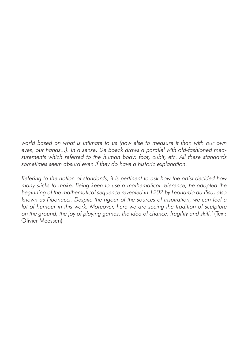world based on what is intimate to us (how else to measure it than with our own eyes, our hands...). In a sense, De Boeck draws a parallel with old-fashioned measurements which referred to the human body: foot, cubit, etc. All these standards sometimes seem absurd even if they do have a historic explanation.

Refering to the notion of standards, it is pertinent to ask how the artist decided how many sticks to make. Being keen to use a mathematical reference, he adopted the beginning of the mathematical sequence revealed in 1202 by Leonardo da Pisa, also known as Fibonacci. Despite the rigour of the sources of inspiration, we can feel a lot of humour in this work. Moreover, here we are seeing the tradition of sculpture on the ground, the joy of playing games, the idea of chance, fragility and skill.' (Text: Olivier Meessen)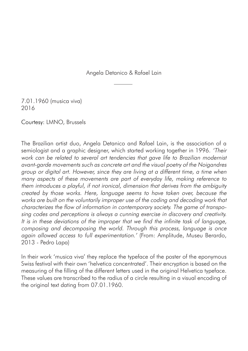Angela Detanico & Rafael Lain

7.01.1960 (musica viva) 2016

Courtesy: LMNO, Brussels

The Brazilian artist duo, Angela Detanico and Rafael Lain, is the association of a semiologist and a graphic designer, which started working together in 1996. 'Their work can be related to several art tendencies that gave life to Brazilian modernist avant-garde movements such as concrete art and the visual poetry of the Noigandres group or digital art. However, since they are living at a different time, a time when many aspects of these movements are part of everyday life, making reference to them introduces a playful, if not ironical, dimension that derives from the ambiguity created by those works. Here, language seems to have taken over, because the works are built on the voluntarily improper use of the coding and decoding work that characterizes the flow of information in contemporary society. The game of transposing codes and perceptions is always a cunning exercise in discovery and creativity. It is in these deviations of the improper that we find the infinite task of language, composing and decomposing the world. Through this process, language is once again allowed access to full experimentation.' (From: Amplitude, Museu Berardo, 2013 - Pedro Lapa)

In their work 'musica viva' they replace the typeface of the poster of the eponymous Swiss festival with their own 'helvetica concentrated'. Their encryption is based on the measuring of the filling of the different letters used in the original Helvetica typeface. These values are transcribed to the radius of a circle resulting in a visual encoding of the original text dating from 07.01.1960.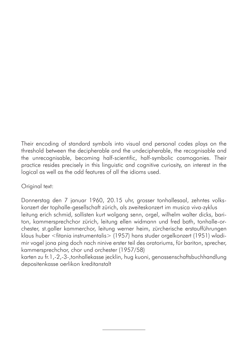Their encoding of standard symbols into visual and personal codes plays on the threshold between the decipherable and the undecipherable, the recognisable and the unrecognisable, becoming half-scientific, half-symbolic cosmogonies. Their practice resides precisely in this linguistic and cognitive curiosity, an interest in the logical as well as the odd features of all the idioms used.

## Original text:

Donnerstag den 7 januar 1960, 20.15 uhr, grosser tonhallesaal, zehntes volkskonzert der tophalle-gesellschaft zürich, als zweiteskonzert im musica viva-zyklus leitung erich schmid, sollisten kurt wolgang senn, orgel, wilhelm walter dicks, bariton, kammersprechchor zürich, leitung ellen widmann und fred bath, tonhalle-orchester, st.galler kammerchor, leitung werner heim, zürcherische erstaufführungen klaus huber <fitania instrumentalis> (1957) hans studer orgelkonzert (1951) wladimir vogel jona ping doch nach ninive erster teil des oratoriums, für bariton, sprecher, kammersprechchor, chor und orchester (1957/58)

karten zu fr.1,-2,-3-,tonhallekasse jecklin, hug kuoni, genossenschaftsbuchhandlung depositenkasse oerlikon kreditanstalt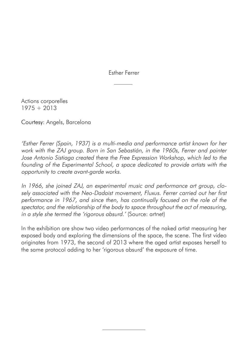Esther Ferrer

Actions corporelles  $1975 + 2013$ 

Courtesy: Angels, Barcelona

'Esther Ferrer (Spain, 1937) is a multi-media and performance artist known for her work with the ZAJ group. Born in San Sebastián, in the 1960s, Ferrer and painter Jose Antonio Sistiaga created there the Free Expression Workshop, which led to the founding of the Experimental School, a space dedicated to provide artists with the opportunity to create avant-garde works.

In 1966, she joined ZAJ, an experimental music and performance art group, closely associated with the Neo-Dadaist movement, Fluxus. Ferrer carried out her first performance in 1967, and since then, has continually focused on the role of the spectator, and the relationship of the body to space throughout the act of measuring, in a style she termed the 'rigorous absurd.' (Source: artnet)

In the exhibition are show two video performances of the naked artist measuring her exposed body and exploring the dimensions of the space, the scene. The first video originates from 1973, the second of 2013 where the aged artist exposes herself to the same protocol adding to her 'rigorous absurd' the exposure of time.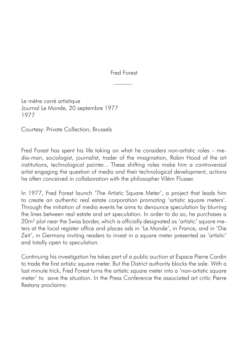Fred Forest

Le mètre carré artistique Journal Le Monde, 20 septembre 1977 1977

Courtesy: Private Collection, Brussels

Fred Forest has spent his life taking on what he considers non-artistic roles – media-man, sociologist, journalist, trader of the imagination, Robin Hood of the art institutions, technological painter... These shifting roles make him a controversial artist engaging the question of media and their technological development, actions he often conceived in collaboration with the philosopher Vilém Flusser.

In 1977, Fred Forest launch 'The Artistic Square Meter', a project that leads him to create an authentic real estate corporation promoting 'artistic square meters'. Through the initiation of media events he aims to denounce speculation by blurring the lines between real estate and art speculation. In order to do so, he purchases a 20m² plot near the Swiss border, which is officially designated as 'artistic' square meters at the local register office and places ads in 'Le Monde', in France, and in 'Die Zeit', in Germany inviting readers to invest in a square meter presented as 'artistic' and totally open to speculation.

Continuing his investigation he takes part of a public auction at Espace Pierre Cardin to trade the first artistic square meter. But the District authority blocks the sale. With a last minute trick, Fred Forest turns the artistic square meter into a 'non-artistic square meter' to save the situation. In the Press Conference the associated art critic Pierre Restany proclaims: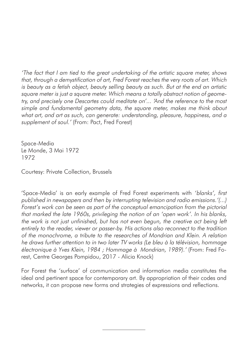'The fact that I am tied to the great undertaking of the artistic square meter, shows that, through a demystification of art, Fred Forest reaches the very roots of art. Which is beauty as a fetish object, beauty selling beauty as such. But at the end an artistic square meter is just a square meter. Which means a totally abstract notion of geometry, and precisely one Descartes could meditate on'... 'And the reference to the most simple and fundamental geometry data, the square meter, makes me think about what art, and art as such, can generate: understanding, pleasure, happiness, and a supplement of soul.' (From: Pact, Fred Forest)

Space-Media Le Monde, 3 Mai 1972 1972

Courtesy: Private Collection, Brussels

'Space-Media' is an early example of Fred Forest experiments with 'blanks', first published in newspapers and then by interrupting television and radio emissions.'(...) Forest's work can be seen as part of the conceptual emancipation from the pictorial that marked the late 1960s, privileging the notion of an 'open work'. In his blanks, the work is not just unfinished, but has not even begun, the creative act being left entirely to the reader, viewer or passer-by. His actions also reconnect to the tradition of the monochrome, a tribute to the researches of Mondrian and Klein. A relation he draws further attention to in two later TV works (Le bleu à la télévision, hommage électronique à Yves Klein, 1984 ; Hommage à Mondrian, 1989).' (From: Fred Forest, Centre Georges Pompidou, 2017 - Alicia Knock)

For Forest the 'surface' of communication and information media constitutes the ideal and pertinent space for contemporary art. By appropriation of their codes and networks, it can propose new forms and strategies of expressions and reflections.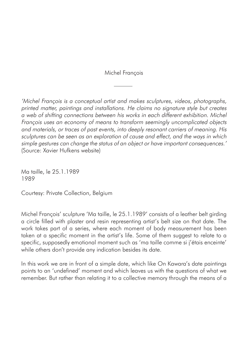Michel François

'Michel François is a conceptual artist and makes sculptures, videos, photographs, printed matter, paintings and installations. He claims no signature style but creates a web of shifting connections between his works in each different exhibition. Michel François uses an economy of means to transform seemingly uncomplicated objects and materials, or traces of past events, into deeply resonant carriers of meaning. His sculptures can be seen as an exploration of cause and effect, and the ways in which simple gestures can change the status of an object or have important consequences.' (Source: Xavier Hufkens website)

Ma taille, le 25.1.1989 1989

Courtesy: Private Collection, Belgium

Michel François' sculpture 'Ma taille, le 25.1.1989' consists of a leather belt girding a circle filled with plaster and resin representing artist's belt size on that date. The work takes part of a series, where each moment of body measurement has been taken at a specific moment in the artist's life. Some of them suggest to relate to a specific, supposedly emotional moment such as 'ma taille comme si j'étais enceinte' while others don't provide any indication besides its date.

In this work we are in front of a simple date, which like On Kawara's date paintings points to an 'undefined' moment and which leaves us with the questions of what we remember. But rather than relating it to a collective memory through the means of a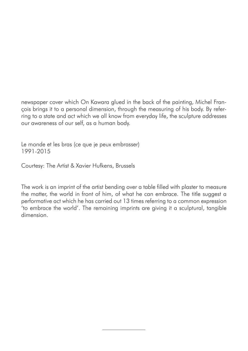newspaper cover which On Kawara glued in the back of the painting, Michel François brings it to a personal dimension, through the measuring of his body. By referring to a state and act which we all know from everyday life, the sculpture addresses our awareness of our self, as a human body.

Le monde et les bras (ce que je peux embrasser) 1991-2015

Courtesy: The Artist & Xavier Hufkens, Brussels

The work is an imprint of the artist bending over a table filled with plaster to measure the matter, the world in front of him, of what he can embrace. The title suggest a performative act which he has carried out 13 times referring to a common expression 'to embrace the world'. The remaining imprints are giving it a sculptural, tangible dimension.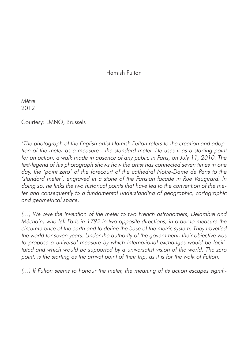Hamish Fulton

Mètre 2012

Courtesy: LMNO, Brussels

'The photograph of the English artist Hamish Fulton refers to the creation and adoption of the meter as a measure - the standard meter. He uses it as a starting point for an action, a walk made in absence of any public in Paris, on July 11, 2010. The text-legend of his photograph shows how the artist has connected seven times in one day, the 'point zero' of the forecourt of the cathedral Notre-Dame de Paris to the 'standard meter', engraved in a stone of the Parisian facade in Rue Vaugirard. In doing so, he links the two historical points that have led to the convention of the meter and consequently to a fundamental understanding of geographic, cartographic and geometrical space.

(…) We owe the invention of the meter to two French astronomers, Delambre and Méchain, who left Paris in 1792 in two opposite directions, in order to measure the circumference of the earth and to define the base of the metric system. They travelled the world for seven years. Under the authority of the government, their objective was to propose a universal measure by which international exchanges would be facilitated and which would be supported by a universalist vision of the world. The zero point, is the starting as the arrival point of their trip, as it is for the walk of Fulton.

(…) If Fulton seems to honour the meter, the meaning of its action escapes signifi-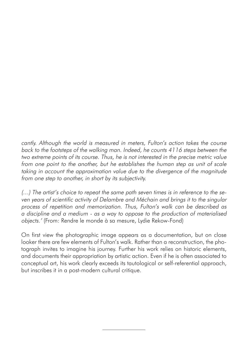cantly. Although the world is measured in meters, Fulton's action takes the course back to the footsteps of the walking man. Indeed, he counts 4116 steps between the two extreme points of its course. Thus, he is not interested in the precise metric value from one point to the another, but he establishes the human step as unit of scale taking in account the approximation value due to the divergence of the magnitude from one step to another, in short by its subjectivity.

(…) The artist's choice to repeat the same path seven times is in reference to the seven years of scientific activity of Delambre and Méchain and brings it to the singular process of repetition and memorization. Thus, Fulton's walk can be described as a discipline and a medium - as a way to oppose to the production of materialised objects.' (From: Rendre le monde à sa mesure, Lydie Rekow-Fond)

On first view the photographic image appears as a documentation, but on close looker there are few elements of Fulton's walk. Rather than a reconstruction, the photograph invites to imagine his journey. Further his work relies on historic elements, and documents their appropriation by artistic action. Even if he is often associated to conceptual art, his work clearly exceeds its tautological or self-referential approach, but inscribes it in a post-modern cultural critique.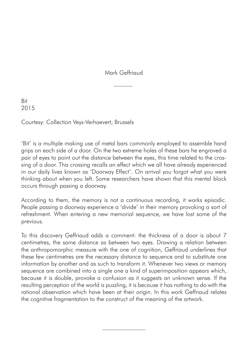Mark Geffriaud

Bit 2015

Courtesy: Collection Veys-Verhaevert, Brussels

'Bit' is a multiple making use of metal bars commonly employed to assemble hand grips on each side of a door. On the two extreme holes of these bars he engraved a pair of eyes to point out the distance between the eyes, this time related to the crossing of a door. This crossing recalls an effect which we all have already experienced in our daily lives known as 'Doorway Effect'. On arrival you forgot what you were thinking about when you left. Some researchers have shown that this mental block occurs through passing a doorway.

According to them, the memory is not a continuous recording, it works episodic. People passing a doorway experience a 'divide' in their memory provoking a sort of refreshment. When entering a new memorial sequence, we have lost some of the previous.

To this discovery Geffriaud adds a comment: the thickness of a door is about 7 centimetres, the same distance as between two eyes. Drawing a relation between the anthropomorphic measure with the one of cognition, Geffriaud underlines that these few centimetres are the necessary distance to sequence and to substitute one information by another and as such to transform it. Whenever two views or memory sequence are combined into a single one a kind of superimposition appears which, because it is double, provoke a confusion as it suggests an unknown sense. If the resulting perception of the world is puzzling, it is because it has nothing to do with the rational observation which have been at their origin. In this work Geffriaud relates the cognitive fragmentation to the construct of the meaning of the artwork.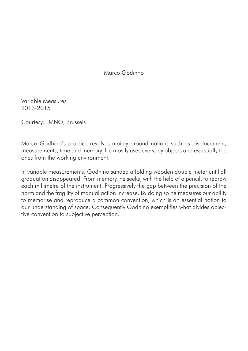Marco Godinho

Variable Measures 2013-2015

Courtesy: LMNO, Brussels

Marco Godhino's practice revolves mainly around notions such as displacement, measurements, time and memory. He mostly uses everyday objects and especially the ones from the working environment.

In variable measurements, Godhino sanded a folding wooden double meter until all graduation disappeared. From memory, he seeks, with the help of a pencil, to redraw each millimetre of the instrument. Progressively the gap between the precision of the norm and the fragility of manual action increase. By doing so he measures our ability to memorise and reproduce a common convention, which is an essential notion to our understanding of space. Consequently Godhino exemplifies what divides objective convention to subjective perception.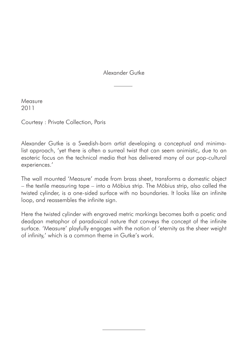Alexander Gutke

Measure 2011

Courtesy : Private Collection, Paris

Alexander Gutke is a Swedish-born artist developing a conceptual and minimalist approach, 'yet there is often a surreal twist that can seem animistic, due to an esoteric focus on the technical media that has delivered many of our pop-cultural experiences.'

The wall mounted 'Measure' made from brass sheet, transforms a domestic object – the textile measuring tape – into a Möbius strip. The Möbius strip, also called the twisted cylinder, is a one-sided surface with no boundaries. It looks like an infinite loop, and reassembles the infinite sign.

Here the twisted cylinder with engraved metric markings becomes both a poetic and deadpan metaphor of paradoxical nature that conveys the concept of the infinite surface. 'Measure' playfully engages with the notion of 'eternity as the sheer weight of infinity,' which is a common theme in Gutke's work.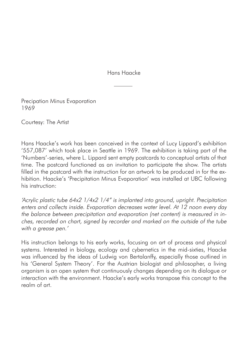Hans Haacke

Precipation Minus Evaporation 1969

Courtesy: The Artist

Hans Haacke's work has been conceived in the context of Lucy Lippard's exhibition '557,087' which took place in Seattle in 1969. The exhibition is taking part of the 'Numbers'-series, where L. Lippard sent empty postcards to conceptual artists of that time. The postcard functioned as an invitation to participate the show. The artists filled in the postcard with the instruction for an artwork to be produced in for the exhibition. Haacke's 'Precipitation Minus Evaporation' was installed at UBC following his instruction:

'Acrylic plastic tube 64x2 1/4x2 1/4" is implanted into ground, upright. Precipitation enters and collects inside. Evaporation decreases water level. At 12 noon every day the balance between precipitation and evaporation (net content) is measured in inches, recorded on chart, signed by recorder and marked on the outside of the tube with a grease pen.'

His instruction belongs to his early works, focusing on art of process and physical systems. Interested in biology, ecology and cybernetics in the mid-sixties, Haacke was influenced by the ideas of Ludwig von Bertalanffy, especially those outlined in his 'General System Theory'. For the Austrian biologist and philosopher, a living organism is an open system that continuously changes depending on its dialogue or interaction with the environment. Haacke's early works transpose this concept to the realm of art.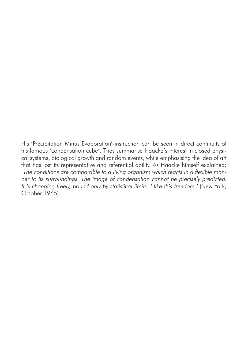His 'Precipitation Minus Evaporation'-instruction can be seen in direct continuity of his famous 'condensation cube'. They summarise Haacke's interest in closed physical systems, biological growth and random events, while emphasising the idea of art that has lost its representative and referential ability. As Haacke himself explained: 'The conditions are comparable to a living organism which reacts in a flexible manner to its surroundings. The image of condensation cannot be precisely predicted. It is changing freely, bound only by statistical limits. I like this freedom.' (New York, October 1965).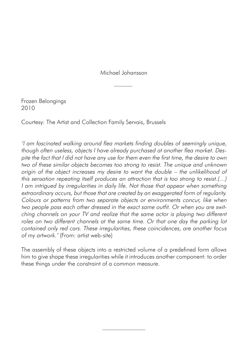Michael Johansson

Frozen Belongings 2010

Courtesy: The Artist and Collection Family Servais, Brussels

'I am fascinated walking around flea markets finding doubles of seemingly unique, though often useless, objects I have already purchased at another flea market. Des<sup>p</sup>ite the fact that I did not have any use for them even the first time, the desire to own two of these similar objects becomes too strong to resist. The unique and unknown origin of the object increases my desire to want the double – the unlikelihood of this sensation repeating itself produces an attraction that is too strong to resist.(…) I am intrigued by irregularities in daily life. Not those that appear when something extraordinary occurs, but those that are created by an exaggerated form of regularity. Colours or patterns from two separate objects or environments concur, like when two people pass each other dressed in the exact same outfit. Or when you are switching channels on your TV and realize that the same actor is playing two different roles on two different channels at the same time. Or that one day the parking lot contained only red cars. These irregularities, these coincidences, are another focus of my artwork.' (From: artist web-site)

The assembly of these objects into a restricted volume of a predefined form allows him to give shape these irregularities while it introduces another component: to order these things under the constraint of a common measure.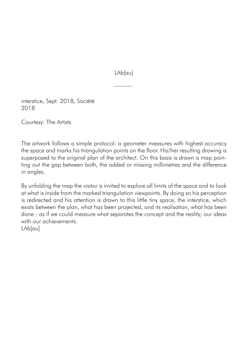LAb[au]

interstice, Sept. 2018, Société 2018

Courtesy: The Artists

The artwork follows a simple protocol: a geometer measures with highest accuracy the space and marks his triangulation points on the floor. His/her resulting drawing is superposed to the original plan of the architect. On this basis is drawn a map pointing out the gap between both, the added or missing millimetres and the difference in angles.

By unfolding the map the visitor is invited to explore all limits of the space and to look at what is inside from the marked triangulation viewpoints. By doing so his perception is redirected and his attention is drawn to this little tiny space, the interstice, which exists between the plan, what has been projected, and its realisation, what has been done - as if we could measure what separates the concept and the reality; our ideas with our achievements.

LAb[au]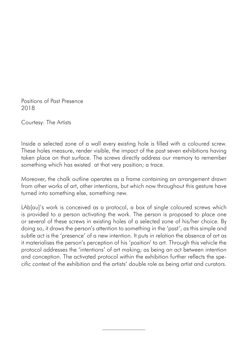Positions of Past Presence 2018

Courtesy: The Artists

Inside a selected zone of a wall every existing hole is filled with a coloured screw. These holes measure, render visible, the impact of the past seven exhibitions having taken place on that surface. The screws directly address our memory to remember something which has existed at that very position; a trace.

Moreover, the chalk outline operates as a frame containing an arrangement drawn from other works of art, other intentions, but which now throughout this gesture have turned into something else, something new.

LAb[au]'s work is conceived as a protocol, a box of single coloured screws which is provided to a person activating the work. The person is proposed to place one or several of these screws in existing holes of a selected zone of his/her choice. By doing so, it draws the person's attention to something in the 'past', as this simple and subtle act is the 'presence' of a new intention. It puts in relation the absence of art as it materialises the person's perception of his 'position' to art. Through this vehicle the protocol addresses the 'intentions' of art making; as being an act between intention and conception. The activated protocol within the exhibition further reflects the specific context of the exhibition and the artists' double role as being artist and curators.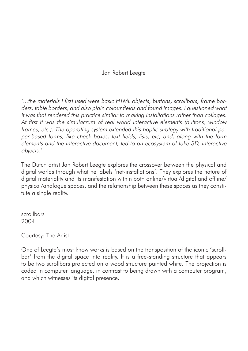Jan Robert Leegte

'...the materials I first used were basic HTML objects, buttons, scrollbars, frame borders, table borders, and also plain colour fields and found images. I questioned what it was that rendered this practice similar to making installations rather than collages. At first it was the simulacrum of real world interactive elements (buttons, window frames, etc.). The operating system extended this haptic strategy with traditional paper-based forms, like check boxes, text fields, lists, etc, and, along with the form elements and the interactive document, led to an ecosystem of fake 3D, interactive objects.'

The Dutch artist Jan Robert Leegte explores the crossover between the physical and digital worlds through what he labels 'net-installations'. They explores the nature of digital materiality and its manifestation within both online/virtual/digital and offline/ physical/analogue spaces, and the relationship between these spaces as they constitute a single reality.

scrollbars 2004

Courtesy: The Artist

One of Leegte's most know works is based on the transposition of the iconic 'scrollbar' from the digital space into reality. It is a free-standing structure that appears to be two scrollbars projected on a wood structure painted white. The projection is coded in computer language, in contrast to being drawn with a computer program, and which witnesses its digital presence.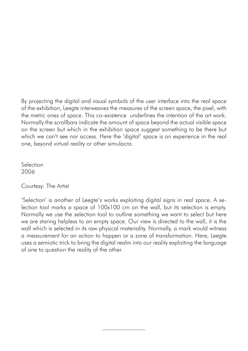By projecting the digital and visual symbols of the user interface into the real space of the exhibition, Leegte interweaves the measures of the screen space, the pixel, with the metric ones of space. This co-existence underlines the intention of the art work. Normally the scrollbars indicate the amount of space beyond the actual visible space on the screen but which in the exhibition space suggest something to be there but which we can't see nor access. Here the 'digital' space is an experience in the real one, beyond virtual reality or other simulacra.

Selection 2006

Courtesy: The Artist

'Selection' is another of Leegte's works exploiting digital signs in real space. A selection tool marks a space of 100x100 cm on the wall, but its selection is empty. Normally we use the selection tool to outline something we want to select but here we are staring helpless to an empty space. Our view is directed to the wall, it is the wall which is selected in its raw physical materiality. Normally, a mark would witness a measurement for an action to happen or a zone of transformation. Here, Leegte uses a semiotic trick to bring the digital realm into our reality exploiting the language of one to question the reality of the other.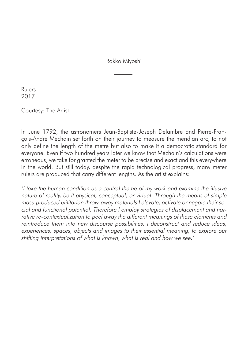Rokko Miyoshi

Rulers 2017

Courtesy: The Artist

In June 1792, the astronomers Jean-Baptiste-Joseph Delambre and Pierre-François-André Méchain set forth on their journey to measure the meridian arc, to not only define the length of the metre but also to make it a democratic standard for everyone. Even if two hundred years later we know that Méchain's calculations were erroneous, we take for granted the meter to be precise and exact and this everywhere in the world. But still today, despite the rapid technological progress, many meter rulers are produced that carry different lengths. As the artist explains:

'I take the human condition as a central theme of my work and examine the illusive nature of reality, be it physical, conceptual, or virtual. Through the means of simple mass-produced utilitarian throw-away materials I elevate, activate or negate their social and functional potential. Therefore I employ strategies of displacement and narrative re-contextualization to peel away the different meanings of these elements and reintroduce them into new discourse possibilities. I deconstruct and reduce ideas, experiences, spaces, objects and images to their essential meaning, to explore our shifting interpretations of what is known, what is real and how we see.'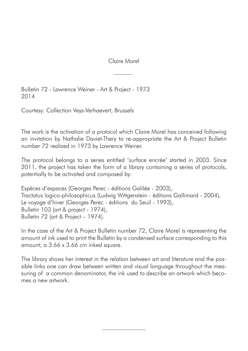Claire Morel

Bulletin 72 - Lawrence Weiner - Art & Project - 1973 2014

Courtesy: Collection Veys-Verhaevert, Brussels

The work is the activation of a protocol which Claire Morel has conceived following an invitation by Nathalie Daviet-Thery to re-appropriate the Art & Project Bulletin number 72 realized in 1973 by Lawrence Weiner.

The protocol belongs to a series entitled 'surface encrée' started in 2003. Since 2011, the project has taken the form of a library containing a series of protocols, potentially to be activated and composed by:

Espèces d'espaces (Georges Perec - éditions Galilée - 2003), Tractatus logico-philosophicus (Ludwig Wittgenstein - éditions Gallimard - 2004), Le voyage d'hiver (Georges Perec - éditions du Seuil - 1993), Bulletin 103 (art & project - 1974), Bulletin 72 (art & Project – 1974).

In the case of the Art & Project Bulletin number 72, Claire Morel is representing the amount of ink used to print the Bulletin by a condensed surface corresponding to this amount; a 3.66 x 3.66 cm inked square.

The library shows her interest in the relation between art and literature and the possible links one can draw between written and visual language throughout the measuring of a common denominator, the ink used to describe an artwork which becomes a new artwork.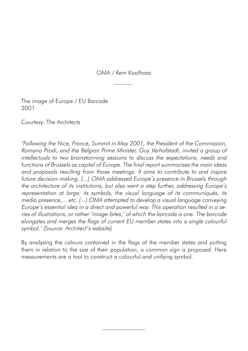OMA / Rem Koolhaas

The image of Europe / EU Barcode 2001

Courtesy: The Architects

'Following the Nice, France, Summit in May 2001, the President of the Commission, Romano Prodi, and the Belgian Prime Minister, Guy Verhofstadt, invited a group of intellectuals to two brainstorming sessions to discuss the expectations, needs and functions of Brussels as capital of Europe. The final report summarises the main ideas and proposals resulting from those meetings. It aims to contribute to and inspire future decision-making. (...) OMA addressed Europe's presence in Brussels through the architecture of its institutions, but also went a step further, addressing Europe's representation at large: its symbols, the visual language of its communiqués, its media presence,... etc. (...) OMA attempted to develop a visual language conveying Europe's essential idea in a direct and powerful way. This operation resulted in a series of illustrations, or rather 'image-bites,' of which the barcode is one. The barcode elongates and merges the flags of current EU member states into a single colourful symbol.' (Source: Architect's website)

By analysing the colours contained in the flags of the member states and putting them in relation to the size of their population, a common sign is proposed. Here measurements are a tool to construct a colourful and unifying symbol.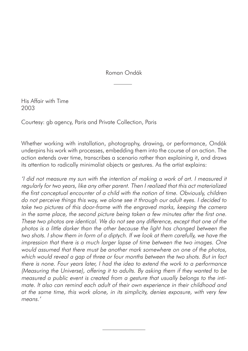Roman Ondák

His Affair with Time 2003

Courtesy: gb agency, Paris and Private Collection, Paris

Whether working with installation, photography, drawing, or performance, Ondák underpins his work with processes, embedding them into the course of an action. The action extends over time, transcribes a scenario rather than explaining it, and draws its attention to radically minimalist objects or gestures. As the artist explains:

'I did not measure my sun with the intention of making a work of art. I measured it regularly for two years, like any other parent. Then I realized that this act materialized the first conceptual encounter of a child with the notion of time. Obviously, children do not perceive things this way, we alone see it through our adult eyes. I decided to take two pictures of this door-frame with the engraved marks, keeping the camera in the same place, the second picture being taken a few minutes after the first one. These two photos are identical. We do not see any difference, except that one of the <sup>p</sup>hotos is a little darker than the other because the light has changed between the two shots. I show them in form of a diptych. If we look at them carefully, we have the impression that there is a much larger lapse of time between the two images. One would assumed that there must be another mark somewhere on one of the photos, which would reveal a gap of three or four months between the two shots. But in fact there is none. Four years later, I had the idea to extend the work to a performance (Measuring the Universe), offering it to adults. By asking them if they wanted to be measured a public event is created from a gesture that usually belongs to the intimate. It also can remind each adult of their own experience in their childhood and at the same time, this work alone, in its simplicity, denies exposure, with very few means<sup>'</sup>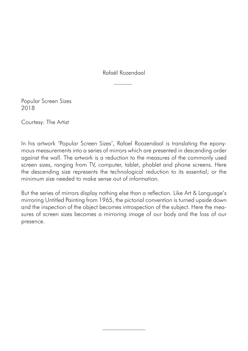Rafaël Rozendaal

Popular Screen Sizes 2018

Courtesy: The Artist

In his artwork 'Popular Screen Sizes', Rafael Roozendaal is translating the eponymous measurements into a series of mirrors which are presented in descending order against the wall. The artwork is a reduction to the measures of the commonly used screen sizes, ranging from TV, computer, tablet, phablet and phone screens. Here the descending size represents the technological reduction to its essential; or the minimum size needed to make sense out of information.

But the series of mirrors display nothing else than a reflection. Like Art & Language's mirroring Untitled Painting from 1965, the pictorial convention is turned upside down and the inspection of the object becomes introspection of the subject. Here the measures of screen sizes becomes a mirroring image of our body and the loss of our presence.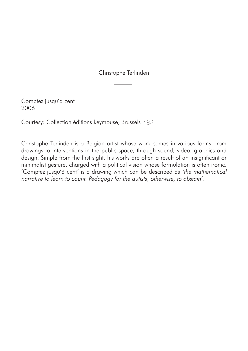Christophe Terlinden

Comptez jusqu'à cent 2006

Courtesy: Collection éditions keymouse, Brussels QP

Christophe Terlinden is a Belgian artist whose work comes in various forms, from drawings to interventions in the public space, through sound, video, graphics and design. Simple from the first sight, his works are often a result of an insignificant or minimalist gesture, charged with a political vision whose formulation is often ironic. 'Comptez jusqu'à cent' is a drawing which can be described as 'the mathematical narrative to learn to count. Pedagogy for the autists, otherwise, to abstain'.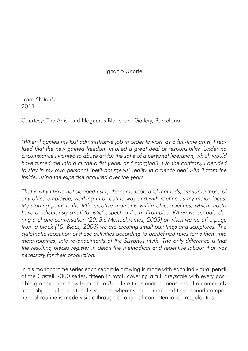Ignacio Uriarte

From 6h to 8b 2011

Courtesy: The Artist and Nogueras Blanchard Gallery, Barcelona

'When I quitted my last administrative job in order to work as a full-time artist, I realized that the new gained freedom implied a great deal of responsibility. Under no circumstance I wanted to abuse art for the sake of a personal liberation, which would have turned me into a cliché-artist (rebel and marginal). On the contrary, I decided to stay in my own personal 'petit-bourgeois' reality in order to deal with it from the inside, using the expertise acquired over the years.

That is why I have not stopped using the same tools and methods, similar to those of any office employee, working in a routine way and with routine as my major focus. My starting point is the little creative moments within office-routines, which mostly have a ridiculously small 'artistic' aspect to them. Examples: When we scribble during a phone conversation (20. Bic Monochromes, 2005) or when we rip off a page from a block (10. Blocs, 2003) we are creating small paintings and sculptures. The systematic repetition of these activities according to predefined rules turns them into meta-routines, into re-enactments of the Sisyphus myth. The only difference is that the resulting pieces register in detail the methodical and repetitive labour that was necessary for their production.'

In his monochrome series each separate drawing is made with each individual pencil of the Castell 9000 series, fifteen in total, covering a full greyscale with every possible graphite hardness from 6h to 8b. Here the standard measures of a commonly used object defines a tonal sequence whereas the human and time-bound component of routine is made visible through a range of non-intentional irregularities.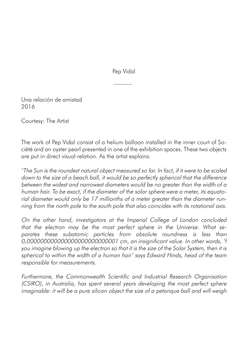Pep Vidal

Una relación de amistad 2016

Courtesy: The Artist

The work of Pep Vidal consist of a helium balloon installed in the inner court of Société and an oyster pearl presented in one of the exhibition spaces. These two objects are put in direct visual relation. As the artist explains:

'The Sun is the roundest natural object measured so far. In fact, if it were to be scaled down to the size of a beach ball, it would be so perfectly spherical that the difference between the widest and narrowest diameters would be no greater than the width of a human hair. To be exact, if the diameter of the solar sphere were a meter, its equatorial diameter would only be 17 millionths of a meter greater than the diameter running from the north pole to the south pole that also coincides with its rotational axis.

On the other hand, investigators at the Imperial College of London concluded that the electron may be the most perfect sphere in the Universe. What separates these subatomic particles from absolute roundness is less than 0,000000000000000000000000001 cm, an insignificant value. In other words, 'f you imagine blowing up the electron so that it is the size of the Solar System, then it is spherical to within the width of a human hair' says Edward Hinds, head of the team responsible for measurements.

Furthermore, the Commonwealth Scientific and Industrial Research Organisation (CSIRO), in Australia, has spent several years developing the most perfect sphere imaginable: it will be a pure silicon object the size of a petanque ball and will weigh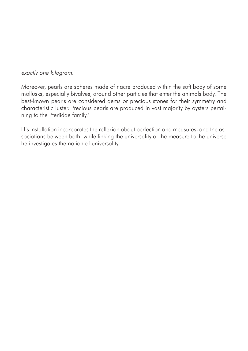exactly one kilogram.

Moreover, pearls are spheres made of nacre produced within the soft body of some mollusks, especially bivalves, around other particles that enter the animals body. The best-known pearls are considered gems or precious stones for their symmetry and characteristic luster. Precious pearls are produced in vast majority by oysters pertaining to the Pteriidae family.'

His installation incorporates the reflexion about perfection and measures, and the associations between both: while linking the universality of the measure to the universe he investigates the notion of universality.